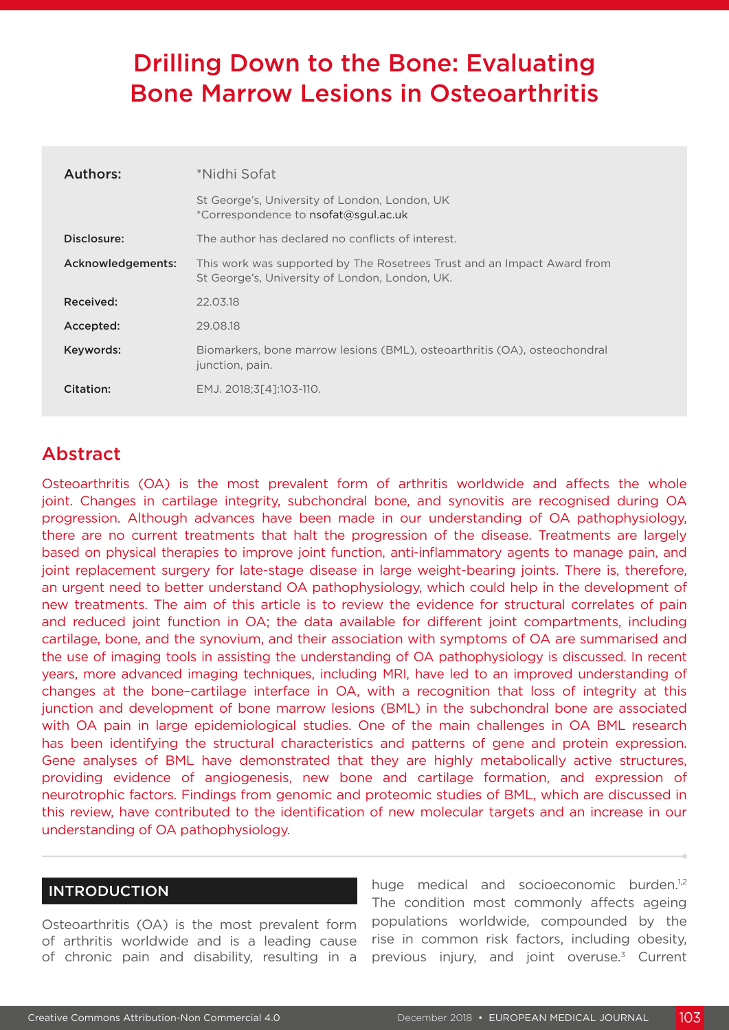# Drilling Down to the Bone: Evaluating Bone Marrow Lesions in Osteoarthritis

| Authors:          | *Nidhi Sofat                                                                                                              |
|-------------------|---------------------------------------------------------------------------------------------------------------------------|
|                   | St George's, University of London, London, UK<br>*Correspondence to nsofat@squl.ac.uk                                     |
| Disclosure:       | The author has declared no conflicts of interest.                                                                         |
| Acknowledgements: | This work was supported by The Rosetrees Trust and an Impact Award from<br>St George's, University of London, London, UK. |
| Received:         | 22.03.18                                                                                                                  |
| Accepted:         | 29.08.18                                                                                                                  |
| Keywords:         | Biomarkers, bone marrow lesions (BML), osteoarthritis (OA), osteochondral<br>junction, pain.                              |
| Citation:         | EMJ. 2018:3[41:103-110.                                                                                                   |

# Abstract

Osteoarthritis (OA) is the most prevalent form of arthritis worldwide and affects the whole joint. Changes in cartilage integrity, subchondral bone, and synovitis are recognised during OA progression. Although advances have been made in our understanding of OA pathophysiology, there are no current treatments that halt the progression of the disease. Treatments are largely based on physical therapies to improve joint function, anti-inflammatory agents to manage pain, and joint replacement surgery for late-stage disease in large weight-bearing joints. There is, therefore, an urgent need to better understand OA pathophysiology, which could help in the development of new treatments. The aim of this article is to review the evidence for structural correlates of pain and reduced joint function in OA; the data available for different joint compartments, including cartilage, bone, and the synovium, and their association with symptoms of OA are summarised and the use of imaging tools in assisting the understanding of OA pathophysiology is discussed. In recent years, more advanced imaging techniques, including MRI, have led to an improved understanding of changes at the bone–cartilage interface in OA, with a recognition that loss of integrity at this junction and development of bone marrow lesions (BML) in the subchondral bone are associated with OA pain in large epidemiological studies. One of the main challenges in OA BML research has been identifying the structural characteristics and patterns of gene and protein expression. Gene analyses of BML have demonstrated that they are highly metabolically active structures, providing evidence of angiogenesis, new bone and cartilage formation, and expression of neurotrophic factors. Findings from genomic and proteomic studies of BML, which are discussed in this review, have contributed to the identification of new molecular targets and an increase in our understanding of OA pathophysiology.

### INTRODUCTION

Osteoarthritis (OA) is the most prevalent form of arthritis worldwide and is a leading cause of chronic pain and disability, resulting in a

huge medical and socioeconomic burden.<sup>1,2</sup> The condition most commonly affects ageing populations worldwide, compounded by the rise in common risk factors, including obesity, previous injury, and joint overuse.<sup>3</sup> Current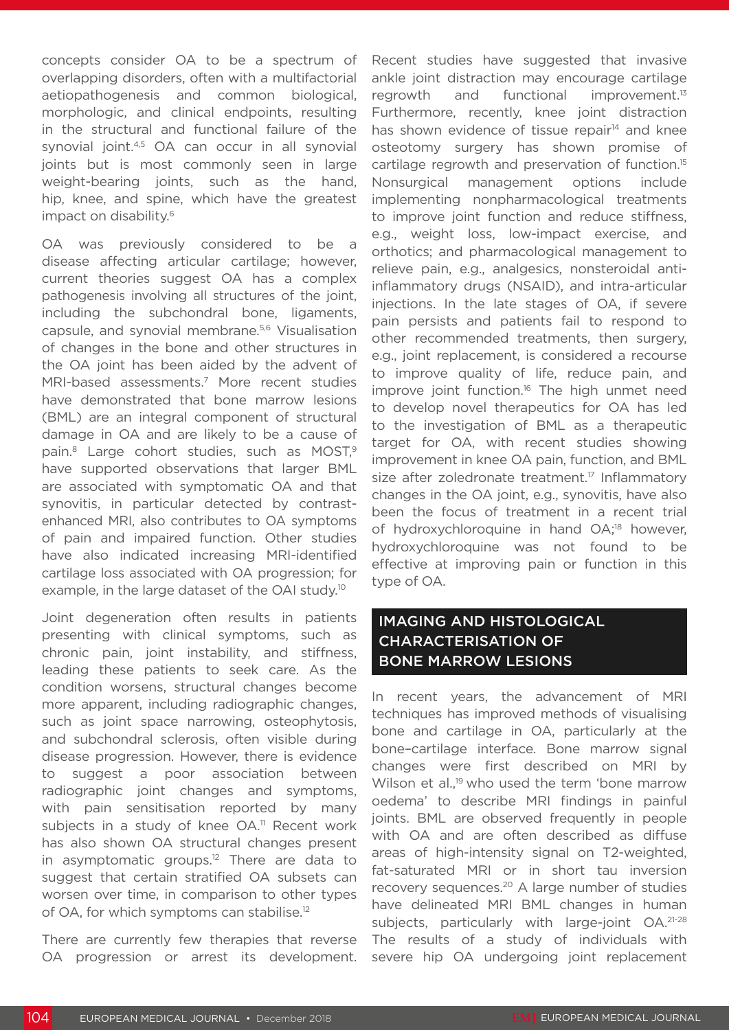concepts consider OA to be a spectrum of overlapping disorders, often with a multifactorial aetiopathogenesis and common biological, morphologic, and clinical endpoints, resulting in the structural and functional failure of the synovial joint.4,5 OA can occur in all synovial joints but is most commonly seen in large weight-bearing joints, such as the hand, hip, knee, and spine, which have the greatest impact on disability.<sup>6</sup>

OA was previously considered to be a disease affecting articular cartilage; however, current theories suggest OA has a complex pathogenesis involving all structures of the joint, including the subchondral bone, ligaments, capsule, and synovial membrane.5,6 Visualisation of changes in the bone and other structures in the OA joint has been aided by the advent of MRI-based assessments.<sup>7</sup> More recent studies have demonstrated that bone marrow lesions (BML) are an integral component of structural damage in OA and are likely to be a cause of pain.<sup>8</sup> Large cohort studies, such as MOST,<sup>9</sup> have supported observations that larger BML are associated with symptomatic OA and that synovitis, in particular detected by contrastenhanced MRI, also contributes to OA symptoms of pain and impaired function. Other studies have also indicated increasing MRI-identified cartilage loss associated with OA progression; for example, in the large dataset of the OAI study.10

Joint degeneration often results in patients presenting with clinical symptoms, such as chronic pain, joint instability, and stiffness, leading these patients to seek care. As the condition worsens, structural changes become more apparent, including radiographic changes, such as joint space narrowing, osteophytosis, and subchondral sclerosis, often visible during disease progression. However, there is evidence to suggest a poor association between radiographic joint changes and symptoms, with pain sensitisation reported by many subjects in a study of knee OA.<sup>11</sup> Recent work has also shown OA structural changes present in asymptomatic groups.<sup>12</sup> There are data to suggest that certain stratified OA subsets can worsen over time, in comparison to other types of OA, for which symptoms can stabilise.12

There are currently few therapies that reverse OA progression or arrest its development. Recent studies have suggested that invasive ankle joint distraction may encourage cartilage regrowth and functional improvement.13 Furthermore, recently, knee joint distraction has shown evidence of tissue repair $14$  and knee osteotomy surgery has shown promise of cartilage regrowth and preservation of function.15 Nonsurgical management options include implementing nonpharmacological treatments to improve joint function and reduce stiffness, e.g., weight loss, low-impact exercise, and orthotics; and pharmacological management to relieve pain, e.g., analgesics, nonsteroidal antiinflammatory drugs (NSAID), and intra-articular injections. In the late stages of OA, if severe pain persists and patients fail to respond to other recommended treatments, then surgery, e.g., joint replacement, is considered a recourse to improve quality of life, reduce pain, and improve joint function.<sup>16</sup> The high unmet need to develop novel therapeutics for OA has led to the investigation of BML as a therapeutic target for OA, with recent studies showing improvement in knee OA pain, function, and BML size after zoledronate treatment.<sup>17</sup> Inflammatory changes in the OA joint, e.g., synovitis, have also been the focus of treatment in a recent trial of hydroxychloroquine in hand OA;<sup>18</sup> however, hydroxychloroquine was not found to be effective at improving pain or function in this type of OA.

# IMAGING AND HISTOLOGICAL CHARACTERISATION OF BONE MARROW LESIONS

In recent years, the advancement of MRI techniques has improved methods of visualising bone and cartilage in OA, particularly at the bone–cartilage interface. Bone marrow signal changes were first described on MRI by Wilson et al.,<sup>19</sup> who used the term 'bone marrow oedema' to describe MRI findings in painful joints. BML are observed frequently in people with OA and are often described as diffuse areas of high-intensity signal on T2-weighted, fat-saturated MRI or in short tau inversion recovery sequences.<sup>20</sup> A large number of studies have delineated MRI BML changes in human subjects, particularly with large-joint OA.<sup>21-28</sup> The results of a study of individuals with severe hip OA undergoing joint replacement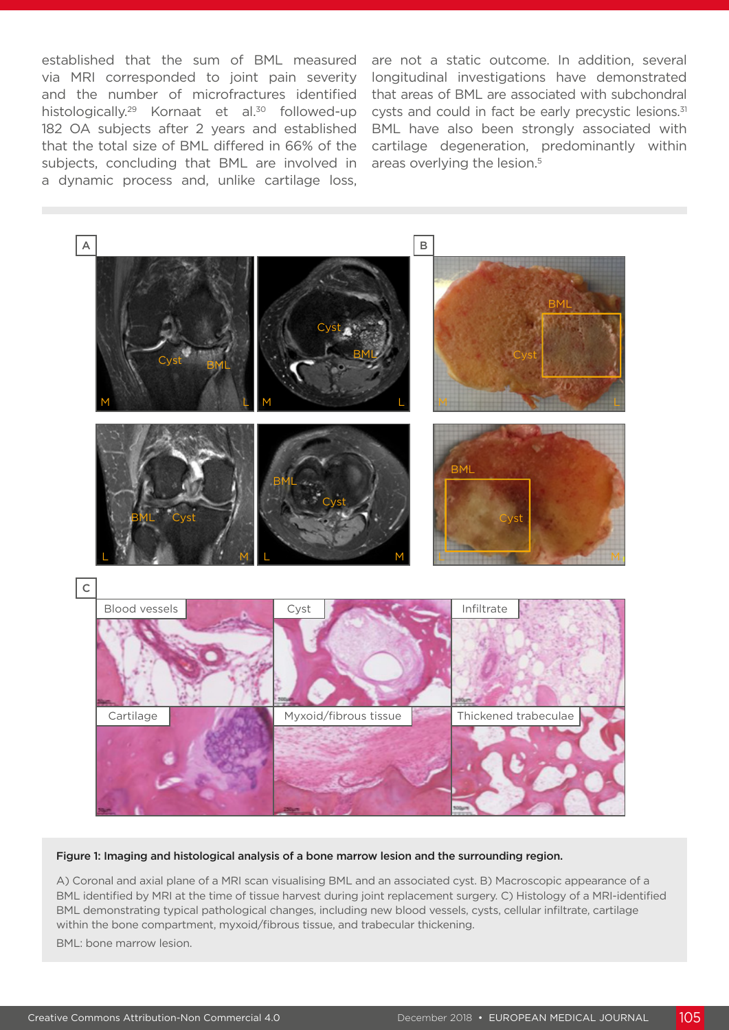established that the sum of BML measured via MRI corresponded to joint pain severity and the number of microfractures identified histologically.<sup>29</sup> Kornaat et al.<sup>30</sup> followed-up 182 OA subjects after 2 years and established that the total size of BML differed in 66% of the subjects, concluding that BML are involved in a dynamic process and, unlike cartilage loss,

are not a static outcome. In addition, several longitudinal investigations have demonstrated that areas of BML are associated with subchondral cysts and could in fact be early precystic lesions.<sup>31</sup> BML have also been strongly associated with cartilage degeneration, predominantly within areas overlying the lesion.5



#### Figure 1: Imaging and histological analysis of a bone marrow lesion and the surrounding region.

A) Coronal and axial plane of a MRI scan visualising BML and an associated cyst. B) Macroscopic appearance of a BML identified by MRI at the time of tissue harvest during joint replacement surgery. C) Histology of a MRI-identified BML demonstrating typical pathological changes, including new blood vessels, cysts, cellular infiltrate, cartilage within the bone compartment, myxoid/fibrous tissue, and trabecular thickening.

BML: bone marrow lesion.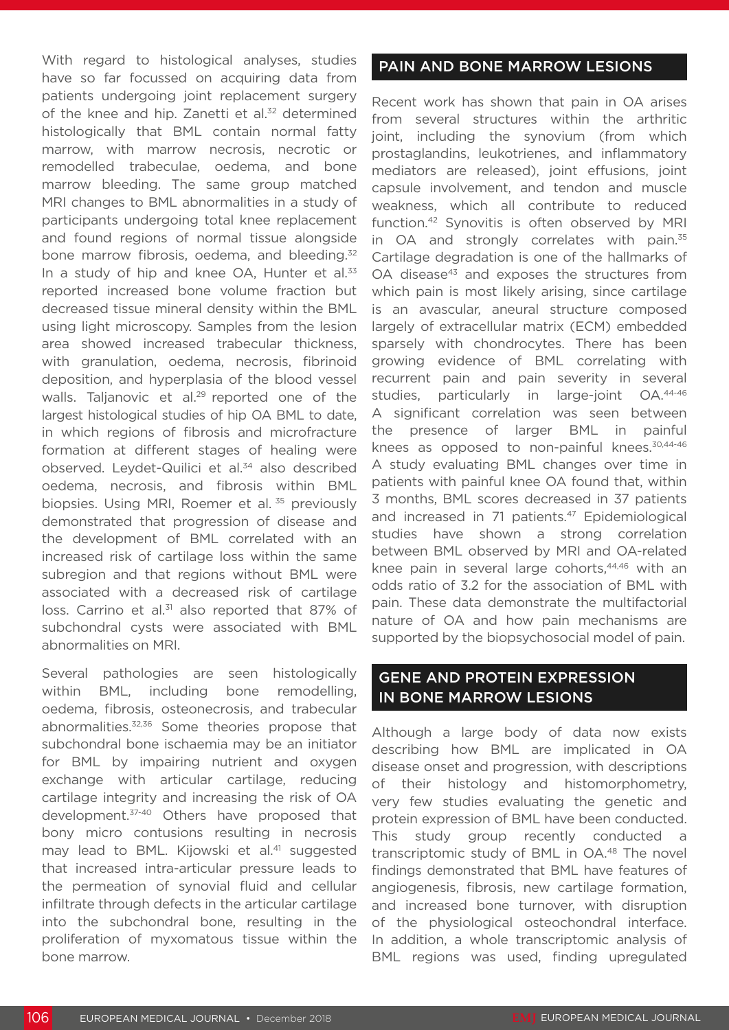With regard to histological analyses, studies have so far focussed on acquiring data from patients undergoing joint replacement surgery of the knee and hip. Zanetti et al.<sup>32</sup> determined histologically that BML contain normal fatty marrow, with marrow necrosis, necrotic or remodelled trabeculae, oedema, and bone marrow bleeding. The same group matched MRI changes to BML abnormalities in a study of participants undergoing total knee replacement and found regions of normal tissue alongside bone marrow fibrosis, oedema, and bleeding.<sup>32</sup> In a study of hip and knee OA, Hunter et al.<sup>33</sup> reported increased bone volume fraction but decreased tissue mineral density within the BML using light microscopy. Samples from the lesion area showed increased trabecular thickness, with granulation, oedema, necrosis, fibrinoid deposition, and hyperplasia of the blood vessel walls. Talianovic et al.<sup>29</sup> reported one of the largest histological studies of hip OA BML to date, in which regions of fibrosis and microfracture formation at different stages of healing were observed. Leydet-Quilici et al.<sup>34</sup> also described oedema, necrosis, and fibrosis within BML biopsies. Using MRI, Roemer et al.<sup>35</sup> previously demonstrated that progression of disease and the development of BML correlated with an increased risk of cartilage loss within the same subregion and that regions without BML were associated with a decreased risk of cartilage loss. Carrino et al.<sup>31</sup> also reported that 87% of subchondral cysts were associated with BML abnormalities on MRI.

Several pathologies are seen histologically within BML, including bone remodelling, oedema, fibrosis, osteonecrosis, and trabecular abnormalities.32,36 Some theories propose that subchondral bone ischaemia may be an initiator for BML by impairing nutrient and oxygen exchange with articular cartilage, reducing cartilage integrity and increasing the risk of OA development.37-40 Others have proposed that bony micro contusions resulting in necrosis may lead to BML. Kijowski et al.<sup>41</sup> suggested that increased intra-articular pressure leads to the permeation of synovial fluid and cellular infiltrate through defects in the articular cartilage into the subchondral bone, resulting in the proliferation of myxomatous tissue within the bone marrow.

### PAIN AND BONE MARROW LESIONS

Recent work has shown that pain in OA arises from several structures within the arthritic joint, including the synovium (from which prostaglandins, leukotrienes, and inflammatory mediators are released), joint effusions, joint capsule involvement, and tendon and muscle weakness, which all contribute to reduced function.42 Synovitis is often observed by MRI in OA and strongly correlates with pain.<sup>35</sup> Cartilage degradation is one of the hallmarks of OA disease<sup>43</sup> and exposes the structures from which pain is most likely arising, since cartilage is an avascular, aneural structure composed largely of extracellular matrix (ECM) embedded sparsely with chondrocytes. There has been growing evidence of BML correlating with recurrent pain and pain severity in several studies, particularly in large-joint OA.44-46 A significant correlation was seen between the presence of larger BML in painful knees as opposed to non-painful knees.<sup>30,44-46</sup> A study evaluating BML changes over time in patients with painful knee OA found that, within 3 months, BML scores decreased in 37 patients and increased in 71 patients.<sup>47</sup> Epidemiological studies have shown a strong correlation between BML observed by MRI and OA-related knee pain in several large cohorts,<sup>44,46</sup> with an odds ratio of 3.2 for the association of BML with pain. These data demonstrate the multifactorial nature of OA and how pain mechanisms are supported by the biopsychosocial model of pain.

# GENE AND PROTEIN EXPRESSION IN BONE MARROW LESIONS

Although a large body of data now exists describing how BML are implicated in OA disease onset and progression, with descriptions of their histology and histomorphometry, very few studies evaluating the genetic and protein expression of BML have been conducted. This study group recently conducted a transcriptomic study of BML in OA.48 The novel findings demonstrated that BML have features of angiogenesis, fibrosis, new cartilage formation, and increased bone turnover, with disruption of the physiological osteochondral interface. In addition, a whole transcriptomic analysis of BML regions was used, finding upregulated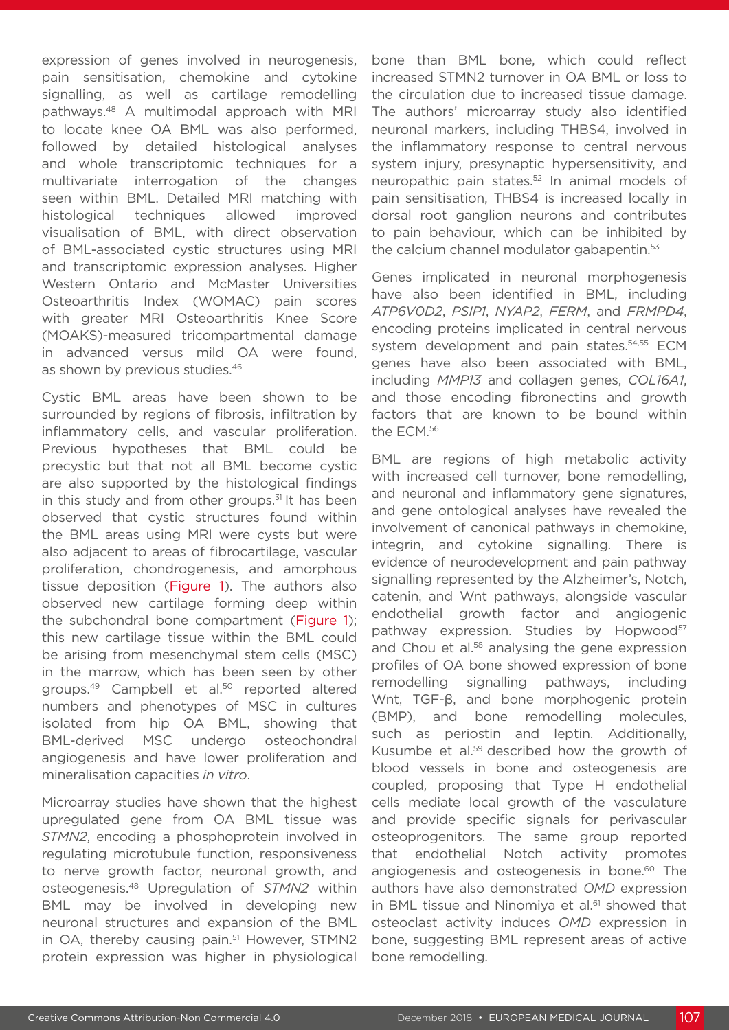expression of genes involved in neurogenesis, pain sensitisation, chemokine and cytokine signalling, as well as cartilage remodelling pathways.48 A multimodal approach with MRI to locate knee OA BML was also performed, followed by detailed histological analyses and whole transcriptomic techniques for a multivariate interrogation of the changes seen within BML. Detailed MRI matching with histological techniques allowed improved visualisation of BML, with direct observation of BML-associated cystic structures using MRI and transcriptomic expression analyses. Higher Western Ontario and McMaster Universities Osteoarthritis Index (WOMAC) pain scores with greater MRI Osteoarthritis Knee Score (MOAKS)-measured tricompartmental damage in advanced versus mild OA were found, as shown by previous studies.<sup>46</sup>

Cystic BML areas have been shown to be surrounded by regions of fibrosis, infiltration by inflammatory cells, and vascular proliferation. Previous hypotheses that BML could be precystic but that not all BML become cystic are also supported by the histological findings in this study and from other groups. $31$  It has been observed that cystic structures found within the BML areas using MRI were cysts but were also adjacent to areas of fibrocartilage, vascular proliferation, chondrogenesis, and amorphous tissue deposition (Figure 1). The authors also observed new cartilage forming deep within the subchondral bone compartment (Figure 1); this new cartilage tissue within the BML could be arising from mesenchymal stem cells (MSC) in the marrow, which has been seen by other groups.<sup>49</sup> Campbell et al.<sup>50</sup> reported altered numbers and phenotypes of MSC in cultures isolated from hip OA BML, showing that BML-derived MSC undergo osteochondral angiogenesis and have lower proliferation and mineralisation capacities *in vitro*.

Microarray studies have shown that the highest upregulated gene from OA BML tissue was *STMN2*, encoding a phosphoprotein involved in regulating microtubule function, responsiveness to nerve growth factor, neuronal growth, and osteogenesis.48 Upregulation of *STMN2* within BML may be involved in developing new neuronal structures and expansion of the BML in OA, thereby causing pain.<sup>51</sup> However, STMN2 protein expression was higher in physiological

bone than BML bone, which could reflect increased STMN2 turnover in OA BML or loss to the circulation due to increased tissue damage. The authors' microarray study also identified neuronal markers, including THBS4, involved in the inflammatory response to central nervous system injury, presynaptic hypersensitivity, and neuropathic pain states.52 In animal models of pain sensitisation, THBS4 is increased locally in dorsal root ganglion neurons and contributes to pain behaviour, which can be inhibited by the calcium channel modulator gabapentin.<sup>53</sup>

Genes implicated in neuronal morphogenesis have also been identified in BML, including *ATP6V0D2*, *PSIP1*, *NYAP2*, *FERM*, and *FRMPD4*, encoding proteins implicated in central nervous system development and pain states.<sup>54,55</sup> ECM genes have also been associated with BML, including *MMP13* and collagen genes, *COL16A1*, and those encoding fibronectins and growth factors that are known to be bound within the ECM.56

BML are regions of high metabolic activity with increased cell turnover, bone remodelling, and neuronal and inflammatory gene signatures, and gene ontological analyses have revealed the involvement of canonical pathways in chemokine, integrin, and cytokine signalling. There is evidence of neurodevelopment and pain pathway signalling represented by the Alzheimer's, Notch, catenin, and Wnt pathways, alongside vascular endothelial growth factor and angiogenic pathway expression. Studies by Hopwood<sup>57</sup> and Chou et al.<sup>58</sup> analysing the gene expression profiles of OA bone showed expression of bone remodelling signalling pathways, including Wnt, TGF-β, and bone morphogenic protein (BMP), and bone remodelling molecules, such as periostin and leptin. Additionally, Kusumbe et al.59 described how the growth of blood vessels in bone and osteogenesis are coupled, proposing that Type H endothelial cells mediate local growth of the vasculature and provide specific signals for perivascular osteoprogenitors. The same group reported that endothelial Notch activity promotes angiogenesis and osteogenesis in bone.<sup>60</sup> The authors have also demonstrated *OMD* expression in BML tissue and Ninomiya et al.<sup>61</sup> showed that osteoclast activity induces *OMD* expression in bone, suggesting BML represent areas of active bone remodelling.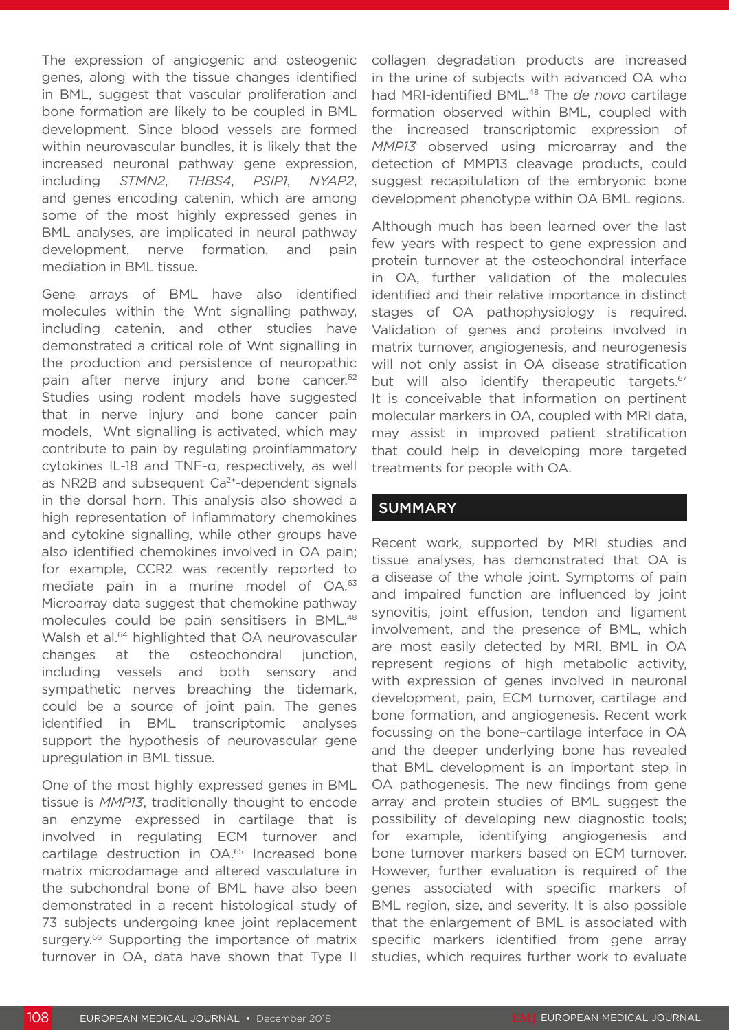The expression of angiogenic and osteogenic genes, along with the tissue changes identified in BML, suggest that vascular proliferation and bone formation are likely to be coupled in BML development. Since blood vessels are formed within neurovascular bundles, it is likely that the increased neuronal pathway gene expression, including *STMN2*, *THBS4*, *PSIP1*, *NYAP2*, and genes encoding catenin, which are among some of the most highly expressed genes in BML analyses, are implicated in neural pathway development, nerve formation, and pain mediation in BML tissue.

Gene arrays of BML have also identified molecules within the Wnt signalling pathway, including catenin, and other studies have demonstrated a critical role of Wnt signalling in the production and persistence of neuropathic pain after nerve injury and bone cancer.<sup>62</sup> Studies using rodent models have suggested that in nerve injury and bone cancer pain models, Wnt signalling is activated, which may contribute to pain by regulating proinflammatory cytokines IL-18 and TNF-α, respectively, as well as NR2B and subsequent Ca<sup>2+</sup>-dependent signals in the dorsal horn. This analysis also showed a high representation of inflammatory chemokines and cytokine signalling, while other groups have also identified chemokines involved in OA pain; for example, CCR2 was recently reported to mediate pain in a murine model of OA.<sup>63</sup> Microarray data suggest that chemokine pathway molecules could be pain sensitisers in BML.48 Walsh et al.<sup>64</sup> highlighted that OA neurovascular changes at the osteochondral junction, including vessels and both sensory and sympathetic nerves breaching the tidemark, could be a source of joint pain. The genes identified in BML transcriptomic analyses support the hypothesis of neurovascular gene upregulation in BML tissue.

One of the most highly expressed genes in BML tissue is *MMP13*, traditionally thought to encode an enzyme expressed in cartilage that is involved in regulating ECM turnover and cartilage destruction in OA.65 Increased bone matrix microdamage and altered vasculature in the subchondral bone of BML have also been demonstrated in a recent histological study of 73 subjects undergoing knee joint replacement surgery.<sup>66</sup> Supporting the importance of matrix turnover in OA, data have shown that Type II collagen degradation products are increased in the urine of subjects with advanced OA who had MRI-identified BML.48 The *de novo* cartilage formation observed within BML, coupled with the increased transcriptomic expression of *MMP13* observed using microarray and the detection of MMP13 cleavage products, could suggest recapitulation of the embryonic bone development phenotype within OA BML regions.

Although much has been learned over the last few years with respect to gene expression and protein turnover at the osteochondral interface in OA, further validation of the molecules identified and their relative importance in distinct stages of OA pathophysiology is required. Validation of genes and proteins involved in matrix turnover, angiogenesis, and neurogenesis will not only assist in OA disease stratification but will also identify therapeutic targets.<sup>67</sup> It is conceivable that information on pertinent molecular markers in OA, coupled with MRI data, may assist in improved patient stratification that could help in developing more targeted treatments for people with OA.

## SUMMARY

Recent work, supported by MRI studies and tissue analyses, has demonstrated that OA is a disease of the whole joint. Symptoms of pain and impaired function are influenced by joint synovitis, joint effusion, tendon and ligament involvement, and the presence of BML, which are most easily detected by MRI. BML in OA represent regions of high metabolic activity, with expression of genes involved in neuronal development, pain, ECM turnover, cartilage and bone formation, and angiogenesis. Recent work focussing on the bone–cartilage interface in OA and the deeper underlying bone has revealed that BML development is an important step in OA pathogenesis. The new findings from gene array and protein studies of BML suggest the possibility of developing new diagnostic tools; for example, identifying angiogenesis and bone turnover markers based on ECM turnover. However, further evaluation is required of the genes associated with specific markers of BML region, size, and severity. It is also possible that the enlargement of BML is associated with specific markers identified from gene array studies, which requires further work to evaluate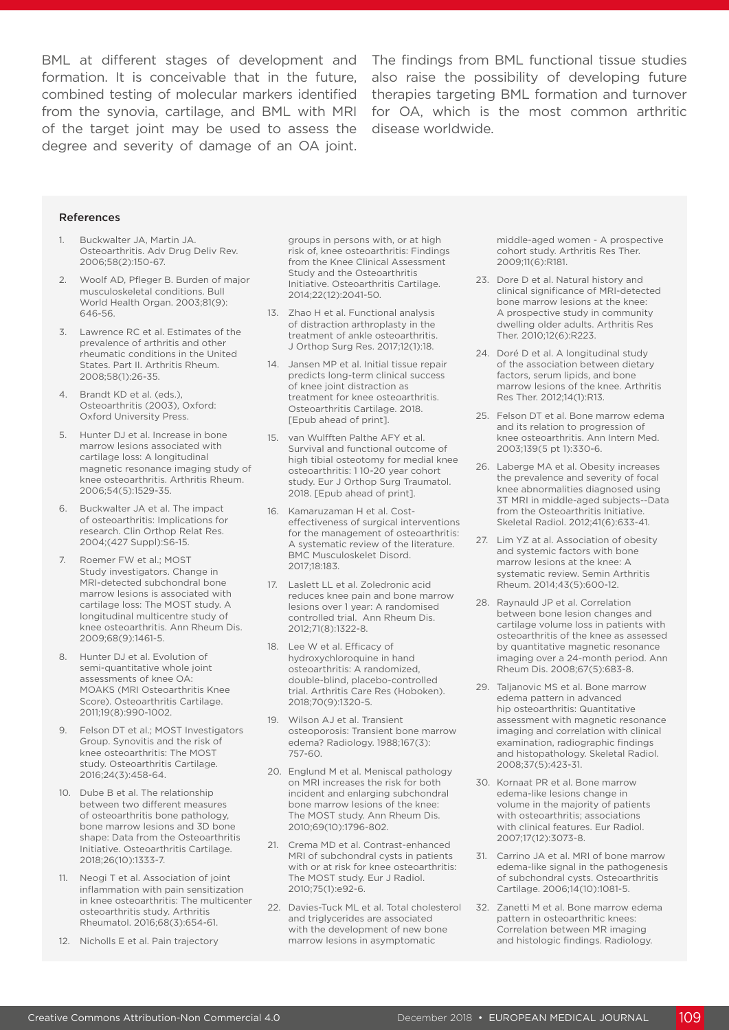from the synovia, cartilage, and BML with MRI of the target joint may be used to assess the degree and severity of damage of an OA joint.

BML at different stages of development and The findings from BML functional tissue studies formation. It is conceivable that in the future, also raise the possibility of developing future combined testing of molecular markers identified therapies targeting BML formation and turnover for OA, which is the most common arthritic disease worldwide.

#### References

- 1. Buckwalter JA, Martin JA. Osteoarthritis. Adv Drug Deliv Rev. 2006;58(2):150-67.
- 2. Woolf AD, Pfleger B. Burden of major musculoskeletal conditions. Bull World Health Organ. 2003;81(9): 646-56.
- 3. Lawrence RC et al. Estimates of the prevalence of arthritis and other rheumatic conditions in the United States. Part II. Arthritis Rheum. 2008;58(1):26-35.
- 4. Brandt KD et al. (eds.), Osteoarthritis (2003), Oxford: Oxford University Press.
- 5. Hunter DJ et al. Increase in bone marrow lesions associated with cartilage loss: A longitudinal magnetic resonance imaging study of knee osteoarthritis. Arthritis Rheum. 2006;54(5):1529-35.
- 6. Buckwalter JA et al. The impact of osteoarthritis: Implications for research. Clin Orthop Relat Res. 2004;(427 Suppl):S6-15.
- Roemer FW et al.; MOST Study investigators. Change in MRI-detected subchondral bone marrow lesions is associated with cartilage loss: The MOST study. A longitudinal multicentre study of knee osteoarthritis. Ann Rheum Dis. 2009;68(9):1461-5.
- 8. Hunter DJ et al. Evolution of semi-quantitative whole joint assessments of knee OA: MOAKS (MRI Osteoarthritis Knee Score). Osteoarthritis Cartilage. 2011;19(8):990-1002.
- 9. Felson DT et al.; MOST Investigators Group. Synovitis and the risk of knee osteoarthritis: The MOST study. Osteoarthritis Cartilage. 2016;24(3):458-64.
- 10. Dube B et al. The relationship between two different measures of osteoarthritis bone pathology, bone marrow lesions and 3D bone shape: Data from the Osteoarthritis Initiative. Osteoarthritis Cartilage. 2018;26(10):1333-7.
- 11. Neogi T et al. Association of joint inflammation with pain sensitization in knee osteoarthritis: The multicenter osteoarthritis study. Arthritis Rheumatol. 2016;68(3):654-61.
- 12. Nicholls E et al. Pain trajectory

groups in persons with, or at high risk of, knee osteoarthritis: Findings from the Knee Clinical Assessment Study and the Osteoarthritis Initiative. Osteoarthritis Cartilage. 2014;22(12):2041-50.

- 13. Zhao H et al. Functional analysis of distraction arthroplasty in the treatment of ankle osteoarthritis. J Orthop Surg Res. 2017;12(1):18.
- 14. Jansen MP et al. Initial tissue repair predicts long-term clinical success of knee joint distraction as treatment for knee osteoarthritis. Osteoarthritis Cartilage. 2018. [Epub ahead of print].
- 15. van Wulfften Palthe AFY et al. Survival and functional outcome of high tibial osteotomy for medial knee osteoarthritis: 1 10-20 year cohort study. Eur J Orthop Surg Traumatol. 2018. [Epub ahead of print].
- 16. Kamaruzaman H et al. Costeffectiveness of surgical interventions for the management of osteoarthritis: A systematic review of the literature. BMC Musculoskelet Disord. 2017;18:183.
- 17. Laslett LL et al. Zoledronic acid reduces knee pain and bone marrow lesions over 1 year: A randomised controlled trial. Ann Rheum Dis. 2012;71(8):1322-8.
- 18. Lee W et al. Efficacy of hydroxychloroquine in hand osteoarthritis: A randomized, double-blind, placebo-controlled trial. Arthritis Care Res (Hoboken). 2018;70(9):1320-5.
- 19. Wilson AJ et al. Transient osteoporosis: Transient bone marrow edema? Radiology. 1988;167(3): 757-60.
- 20. Englund M et al. Meniscal pathology on MRI increases the risk for both incident and enlarging subchondral bone marrow lesions of the knee: The MOST study. Ann Rheum Dis. 2010;69(10):1796-802.
- 21. Crema MD et al. Contrast-enhanced MRI of subchondral cysts in patients with or at risk for knee osteoarthritis: The MOST study. Eur J Radiol. 2010;75(1):e92-6.
- 22. Davies-Tuck ML et al. Total cholesterol and triglycerides are associated with the development of new bone marrow lesions in asymptomatic

middle-aged women - A prospective cohort study. Arthritis Res Ther. 2009;11(6):R181.

- 23. Dore D et al. Natural history and clinical significance of MRI-detected bone marrow lesions at the knee: A prospective study in community dwelling older adults. Arthritis Res Ther. 2010;12(6):R223.
- 24. Doré D et al. A longitudinal study of the association between dietary factors, serum lipids, and bone marrow lesions of the knee. Arthritis Res Ther. 2012;14(1):R13.
- 25. Felson DT et al. Bone marrow edema and its relation to progression of knee osteoarthritis. Ann Intern Med. 2003;139(5 pt 1):330-6.
- 26. Laberge MA et al. Obesity increases the prevalence and severity of focal knee abnormalities diagnosed using 3T MRI in middle-aged subjects--Data from the Osteoarthritis Initiative. Skeletal Radiol. 2012;41(6):633-41.
- 27. Lim YZ at al. Association of obesity and systemic factors with bone marrow lesions at the knee: A systematic review. Semin Arthritis Rheum. 2014;43(5):600-12.
- 28. Raynauld JP et al. Correlation between bone lesion changes and cartilage volume loss in patients with osteoarthritis of the knee as assessed by quantitative magnetic resonance imaging over a 24-month period. Ann Rheum Dis. 2008;67(5):683-8.
- 29. Taljanovic MS et al. Bone marrow edema pattern in advanced hip osteoarthritis: Quantitative assessment with magnetic resonance imaging and correlation with clinical examination, radiographic findings and histopathology. Skeletal Radiol. 2008;37(5):423-31.
- 30. Kornaat PR et al. Bone marrow edema-like lesions change in volume in the majority of patients with osteoarthritis; associations with clinical features. Eur Radiol. 2007;17(12):3073-8.
- 31. Carrino JA et al. MRI of bone marrow edema-like signal in the pathogenesis of subchondral cysts. Osteoarthritis Cartilage. 2006;14(10):1081-5.
- 32. Zanetti M et al. Bone marrow edema pattern in osteoarthritic knees: Correlation between MR imaging and histologic findings. Radiology.